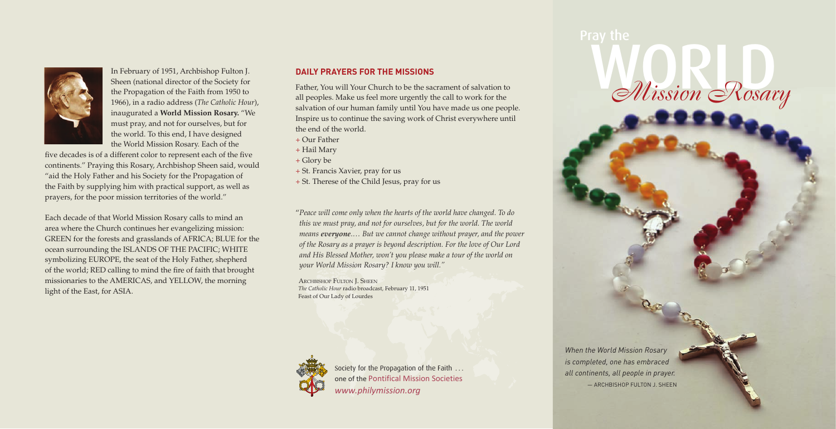

In February of 1951, Archbishop Fulton J. Sheen (national director of the Society for the Propagation of the Faith from 1950 to 1966), in a radio address (*The Catholic Hour*), inaugurated a **World Mission Rosary.** "We must pray, and not for ourselves, but for the world. To this end, I have designed the World Mission Rosary. Each of the

five decades is of a different color to represent each of the five continents." Praying this Rosary, Archbishop Sheen said, would "aid the Holy Father and his Society for the Propagation of the Faith by supplying him with practical support, as well as prayers, for the poor mission territories of the world."

Each decade of that World Mission Rosary calls to mind an area where the Church continues her evangelizing mission: GREEN for the forests and grasslands of AFRICA; BLUE for the ocean surrounding the ISLANDS OF THE PACIFIC; WHITE symbolizing EUROPE, the seat of the Holy Father, shepherd of the world; RED calling to mind the fire of faith that brought missionaries to the AMERICAS, and YELLOW, the morning light of the East, for ASIA.

#### **Daily Prayers for the Missions**

Father, You will Your Church to be the sacrament of salvation to all peoples. Make us feel more urgently the call to work for the salvation of our human family until You have made us one people. Inspire us to continue the saving work of Christ everywhere until the end of the world.

+ Our Father

+ Hail Mary

+ Glory be

+ St. Francis Xavier, pray for us

+ St. Therese of the Child Jesus, pray for us

"*Peace will come only when the hearts of the world have changed. To do this we must pray, and not for ourselves, but for the world. The world means everyone.… But we cannot change without prayer, and the power of the Rosary as a prayer is beyond description. For the love of Our Lord and His Blessed Mother, won't you please make a tour of the world on your World Mission Rosary? I know you will."*

 Archbishop Fulton J. Sheen *The Catholic Hour* radio broadcast, February 11, 1951 Feast of Our Lady of Lourdes



Society for the Propagation of the Faith ... one of the Pontifical Mission Societies *www.philymission.org*

*When the World Mission Rosary is completed, one has embraced all continents, all people in prayer.* — Archbishop Fulton J. Sheen

Wission Rosary